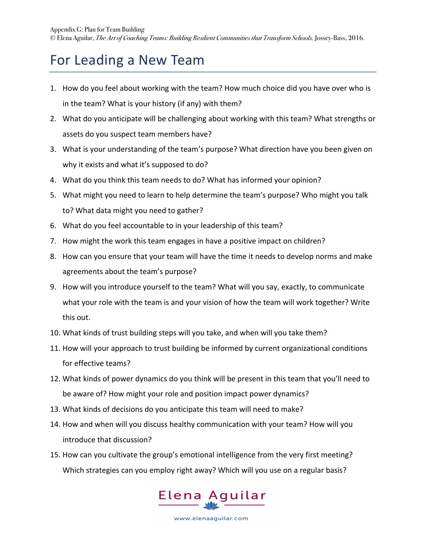## For Leading a New Team

- 1. How do you feel about working with the team? How much choice did you have over who is in the team? What is your history (if any) with them?
- 2. What do you anticipate will be challenging about working with this team? What strengths or assets do you suspect team members have?
- 3. What is your understanding of the team's purpose? What direction have you been given on why it exists and what it's supposed to do?
- 4. What do you think this team needs to do? What has informed your opinion?
- 5. What might you need to learn to help determine the team's purpose? Who might you talk to? What data might you need to gather?
- 6. What do you feel accountable to in your leadership of this team?
- 7. How might the work this team engages in have a positive impact on children?
- 8. How can you ensure that your team will have the time it needs to develop norms and make agreements about the team's purpose?
- 9. How will you introduce yourself to the team? What will you say, exactly, to communicate what your role with the team is and your vision of how the team will work together? Write this out.
- 10. What kinds of trust building steps will you take, and when will you take them?
- 11. How will your approach to trust building be informed by current organizational conditions for effective teams?
- 12. What kinds of power dynamics do you think will be present in this team that you'll need to be aware of? How might your role and position impact power dynamics?
- 13. What kinds of decisions do you anticipate this team will need to make?
- 14. How and when will you discuss healthy communication with your team? How will you introduce that discussion?
- 15. How can you cultivate the group's emotional intelligence from the very first meeting? Which strategies can you employ right away? Which will you use on a regular basis?

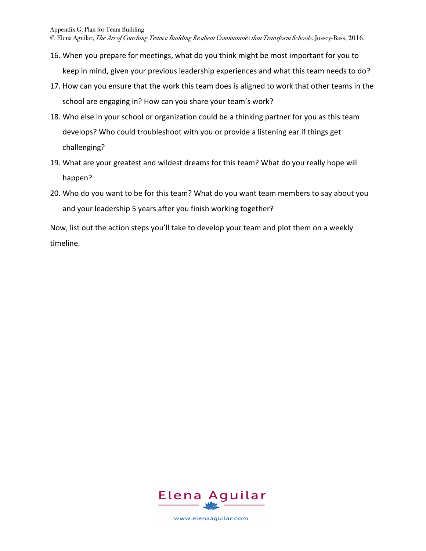© Elena Aguilar, *The Art of Coaching Teams: Building Resilient Communities that Transform Schools.* Jossey-Bass, 2016.

- 16. When you prepare for meetings, what do you think might be most important for you to keep in mind, given your previous leadership experiences and what this team needs to do?
- 17. How can you ensure that the work this team does is aligned to work that other teams in the school are engaging in? How can you share your team's work?
- 18. Who else in your school or organization could be a thinking partner for you as this team develops? Who could troubleshoot with you or provide a listening ear if things get challenging?
- 19. What are your greatest and wildest dreams for this team? What do you really hope will happen?
- 20. Who do you want to be for this team? What do you want team members to say about you and your leadership 5 years after you finish working together?

Now, list out the action steps you'll take to develop your team and plot them on a weekly timeline.

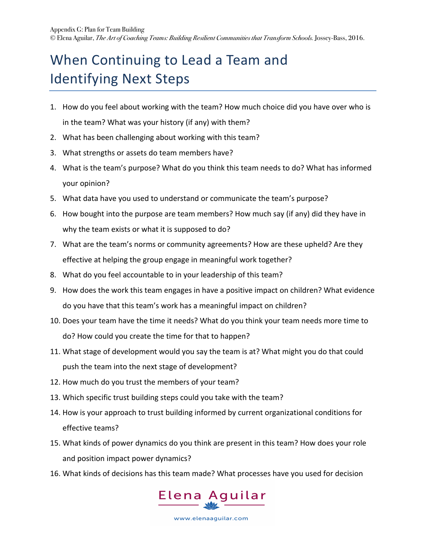## When Continuing to Lead a Team and **Identifying Next Steps**

- 1. How do you feel about working with the team? How much choice did you have over who is in the team? What was your history (if any) with them?
- 2. What has been challenging about working with this team?
- 3. What strengths or assets do team members have?
- 4. What is the team's purpose? What do you think this team needs to do? What has informed your opinion?
- 5. What data have you used to understand or communicate the team's purpose?
- 6. How bought into the purpose are team members? How much say (if any) did they have in why the team exists or what it is supposed to do?
- 7. What are the team's norms or community agreements? How are these upheld? Are they effective at helping the group engage in meaningful work together?
- 8. What do you feel accountable to in your leadership of this team?
- 9. How does the work this team engages in have a positive impact on children? What evidence do you have that this team's work has a meaningful impact on children?
- 10. Does your team have the time it needs? What do you think your team needs more time to do? How could you create the time for that to happen?
- 11. What stage of development would you say the team is at? What might you do that could push the team into the next stage of development?
- 12. How much do you trust the members of your team?
- 13. Which specific trust building steps could you take with the team?
- 14. How is your approach to trust building informed by current organizational conditions for effective teams?
- 15. What kinds of power dynamics do you think are present in this team? How does your role and position impact power dynamics?
- 16. What kinds of decisions has this team made? What processes have you used for decision